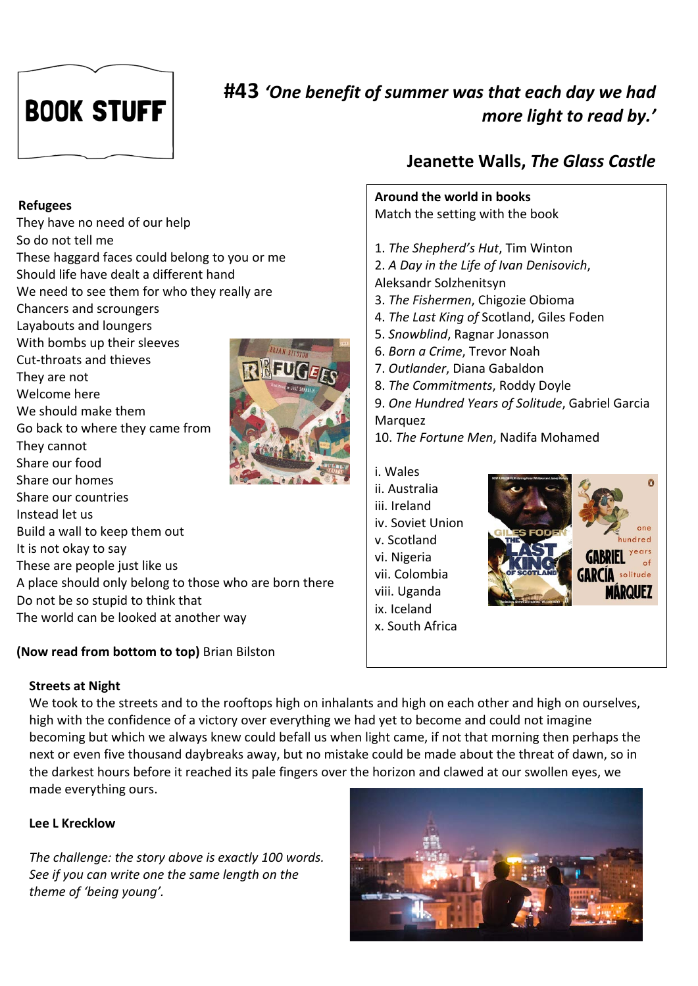# **BOOK STUFF**

## **#43** *'One benefit of summer was that each day we had more light to read by.'*

#### **Refugees**

They have no need of our help So do not tell me These haggard faces could belong to you or me Should life have dealt a different hand We need to see them for who they really are Chancers and scroungers Layabouts and loungers With bombs up their sleeves Cut-throats and thieves They are not Welcome here We should make them Go back to where they came from They cannot Share our food Share our homes Share our countries Instead let us Build a wall to keep them out It is not okay to say These are people just like us A place should only belong to those who are born there Do not be so stupid to think that The world can be looked at another way

#### **(Now read from bottom to top)** Brian Bilston

## **Jeanette Walls,** *The Glass Castle*



v. Scotland vi. Nigeria vii. Colombia viii. Uganda ix. Iceland x. South Africa



#### **Streets at Night**

We took to the streets and to the rooftops high on inhalants and high on each other and high on ourselves, high with the confidence of a victory over everything we had yet to become and could not imagine becoming but which we always knew could befall us when light came, if not that morning then perhaps the next or even five thousand daybreaks away, but no mistake could be made about the threat of dawn, so in the darkest hours before it reached its pale fingers over the horizon and clawed at our swollen eyes, we made everything ours.

### **Lee L Krecklow**

*The challenge: the story above is exactly 100 words. See if you can write one the same length on the theme of 'being young'.*

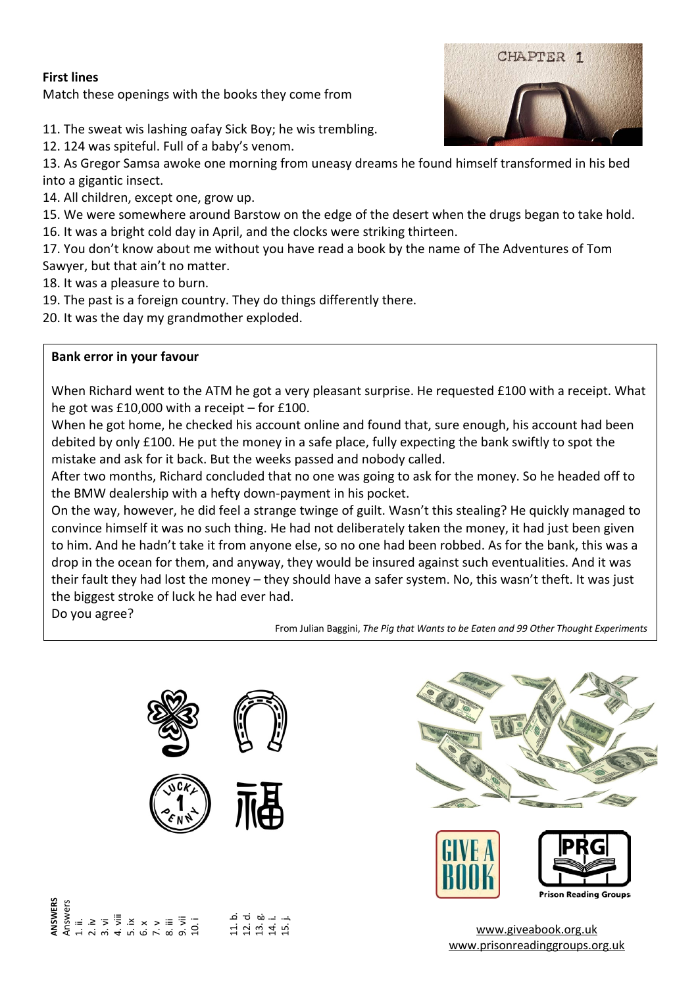#### **First lines**

Match these openings with the books they come from

- 11. The sweat wis lashing oafay Sick Boy; he wis trembling.
- 12. 124 was spiteful. Full of a baby's venom.
- 13. As Gregor Samsa awoke one morning from uneasy dreams he found himself transformed in his bed into a gigantic insect.
- 14. All children, except one, grow up.
- 15. We were somewhere around Barstow on the edge of the desert when the drugs began to take hold.
- 16. It was a bright cold day in April, and the clocks were striking thirteen.
- 17. You don't know about me without you have read a book by the name of The Adventures of Tom Sawyer, but that ain't no matter.
- 18. It was a pleasure to burn.
- 19. The past is a foreign country. They do things differently there.
- 20. It was the day my grandmother exploded.

#### **Bank error in your favour**

When Richard went to the ATM he got a very pleasant surprise. He requested £100 with a receipt. What he got was £10,000 with a receipt – for £100.

When he got home, he checked his account online and found that, sure enough, his account had been debited by only £100. He put the money in a safe place, fully expecting the bank swiftly to spot the mistake and ask for it back. But the weeks passed and nobody called.

After two months, Richard concluded that no one was going to ask for the money. So he headed off to the BMW dealership with a hefty down-payment in his pocket.

On the way, however, he did feel a strange twinge of guilt. Wasn't this stealing? He quickly managed to convince himself it was no such thing. He had not deliberately taken the money, it had just been given to him. And he hadn't take it from anyone else, so no one had been robbed. As for the bank, this was a drop in the ocean for them, and anyway, they would be insured against such eventualities. And it was their fault they had lost the money – they should have a safer system. No, this wasn't theft. It was just the biggest stroke of luck he had ever had.

Do you agree?

From Julian Baggini, *The Pig that Wants to be Eaten and 99 Other Thought Experiments*





#### **NSWERS ANSWERS** Answers ם ਦ ਲਾ≔ ਜ<br>ਸ਼ਿਲਾਂ ਬਾਂ ਦਾ<br>ਸ਼ੁਲਾਂ ਦਾ ਜ ي: ≥ ج چ ّ × × > ≡ چَ<br>4. vi wi 4. vi 9. vi 9. vi 10. i







www.giveabook.org.uk www.prisonreadinggroups.org.uk